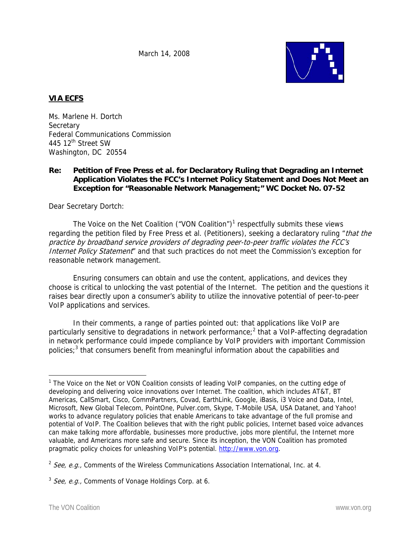March 14, 2008



## **VIA ECFS**

Ms. Marlene H. Dortch **Secretary** Federal Communications Commission 445 12<sup>th</sup> Street SW Washington, DC 20554

### **Re: Petition of Free Press et al. for Declaratory Ruling that Degrading an Internet Application Violates the FCC's Internet Policy Statement and Does Not Meet an Exception for "Reasonable Network Management;" WC Docket No. 07-52**

Dear Secretary Dortch:

The Voice on the Net Coalition ("VON Coalition") $1$  respectfully submits these views regarding the petition filed by Free Press et al. (Petitioners), seeking a declaratory ruling "that the practice by broadband service providers of degrading peer-to-peer traffic violates the FCC's Internet Policy Statement" and that such practices do not meet the Commission's exception for reasonable network management.

Ensuring consumers can obtain and use the content, applications, and devices they choose is critical to unlocking the vast potential of the Internet. The petition and the questions it raises bear directly upon a consumer's ability to utilize the innovative potential of peer-to-peer VoIP applications and services.

In their comments, a range of parties pointed out: that applications like VoIP are particularly sensitive to degradations in network performance;<sup>2</sup> that a VoIP-affecting degradation in network performance could impede compliance by VoIP providers with important Commission policies;<sup>3</sup> that consumers benefit from meaningful information about the capabilities and

 $\overline{a}$ <sup>1</sup> The Voice on the Net or VON Coalition consists of leading VoIP companies, on the cutting edge of developing and delivering voice innovations over Internet. The coalition, which includes AT&T, BT Americas, CallSmart, Cisco, CommPartners, Covad, EarthLink, Google, iBasis, i3 Voice and Data, Intel, Microsoft, New Global Telecom, PointOne, Pulver.com, Skype, T-Mobile USA, USA Datanet, and Yahoo! works to advance regulatory policies that enable Americans to take advantage of the full promise and potential of VoIP. The Coalition believes that with the right public policies, Internet based voice advances can make talking more affordable, businesses more productive, jobs more plentiful, the Internet more valuable, and Americans more safe and secure. Since its inception, the VON Coalition has promoted pragmatic policy choices for unleashing VoIP's potential. http://www.von.org.

<sup>&</sup>lt;sup>2</sup> See, e.g., Comments of the Wireless Communications Association International, Inc. at 4.

 $3$  See, e.g., Comments of Vonage Holdings Corp. at 6.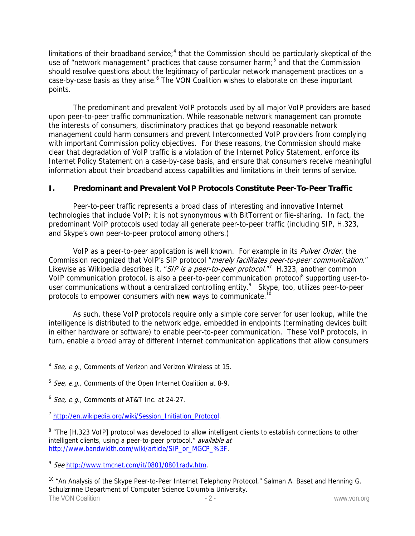limitations of their broadband service;<sup>4</sup> that the Commission should be particularly skeptical of the use of "network management" practices that cause consumer harm;<sup>5</sup> and that the Commission should resolve questions about the legitimacy of particular network management practices on a case-by-case basis as they arise.<sup>6</sup> The VON Coalition wishes to elaborate on these important points.

The predominant and prevalent VoIP protocols used by all major VoIP providers are based upon peer-to-peer traffic communication. While reasonable network management can promote the interests of consumers, discriminatory practices that go beyond reasonable network management could harm consumers and prevent Interconnected VoIP providers from complying with important Commission policy objectives. For these reasons, the Commission should make clear that degradation of VoIP traffic is a violation of the Internet Policy Statement, enforce its Internet Policy Statement on a case-by-case basis, and ensure that consumers receive meaningful information about their broadband access capabilities and limitations in their terms of service.

# **I. Predominant and Prevalent VoIP Protocols Constitute Peer-To-Peer Traffic**

Peer-to-peer traffic represents a broad class of interesting and innovative Internet technologies that include VoIP; it is not synonymous with BitTorrent or file-sharing. In fact, the predominant VoIP protocols used today all generate peer-to-peer traffic (including SIP, H.323, and Skype's own peer-to-peer protocol among others.)

VoIP as a peer-to-peer application is well known. For example in its *Pulver Order*, the Commission recognized that VoIP's SIP protocol "merely facilitates peer-to-peer communication." Likewise as Wikipedia describes it, "SIP is a peer-to-peer protocol."<sup>7</sup> H.323, another common VoIP communication protocol, is also a peer-to-peer communication protocol<sup>8</sup> supporting user-touser communications without a centralized controlling entity.<sup>9</sup> Skype, too, utilizes peer-to-peer protocols to empower consumers with new ways to communicate.<sup>10</sup>

As such, these VoIP protocols require only a simple core server for user lookup, while the intelligence is distributed to the network edge, embedded in endpoints (terminating devices built in either hardware or software) to enable peer-to-peer communication. These VoIP protocols, in turn, enable a broad array of different Internet communication applications that allow consumers

 $\overline{a}$ 

The VON Coalition **The VON Coalition** - 2 - The VON Coalition of the VON Coalition of the VON Coalition of the VON Coalition of the VON Coalition of the VON Coalition of the VON Coalition of the VON Coalition of the VON Co <sup>10</sup> "An Analysis of the Skype Peer-to-Peer Internet Telephony Protocol," Salman A. Baset and Henning G. Schulzrinne Department of Computer Science Columbia University.

 $4$  See, e.g., Comments of Verizon and Verizon Wireless at 15.

 $5$  See, e.g., Comments of the Open Internet Coalition at 8-9.

 $6$  See, e.g., Comments of AT&T Inc. at 24-27.

<sup>&</sup>lt;sup>7</sup> http://en.wikipedia.org/wiki/Session\_Initiation\_Protocol.

<sup>&</sup>lt;sup>8</sup> "The [H.323 VoIP] protocol was developed to allow intelligent clients to establish connections to other intelligent clients, using a peer-to-peer protocol." available at http://www.bandwidth.com/wiki/article/SIP\_or\_MGCP\_%3F.

<sup>&</sup>lt;sup>9</sup> See http://www.tmcnet.com/it/0801/0801rady.htm.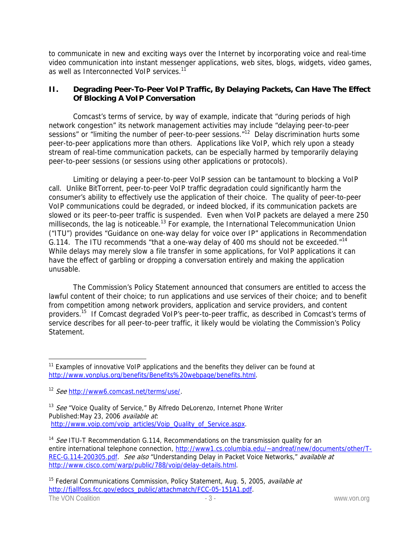to communicate in new and exciting ways over the Internet by incorporating voice and real-time video communication into instant messenger applications, web sites, blogs, widgets, video games, as well as Interconnected VoIP services.<sup>11</sup>

## **II. Degrading Peer-To-Peer VoIP Traffic, By Delaying Packets, Can Have The Effect Of Blocking A VoIP Conversation**

Comcast's terms of service, by way of example, indicate that "during periods of high network congestion" its network management activities may include "delaying peer-to-peer sessions" or "limiting the number of peer-to-peer sessions."<sup>12</sup> Delay discrimination hurts some peer-to-peer applications more than others. Applications like VoIP, which rely upon a steady stream of real-time communication packets, can be especially harmed by temporarily delaying peer-to-peer sessions (or sessions using other applications or protocols).

Limiting or delaying a peer-to-peer VoIP session can be tantamount to blocking a VoIP call. Unlike BitTorrent, peer-to-peer VoIP traffic degradation could significantly harm the consumer's ability to effectively use the application of their choice. The quality of peer-to-peer VoIP communications could be degraded, or indeed blocked, if its communication packets are slowed or its peer-to-peer traffic is suspended. Even when VoIP packets are delayed a mere 250 milliseconds, the lag is noticeable.<sup>13</sup> For example, the International Telecommunication Union ("ITU") provides "Guidance on one-way delay for voice over IP" applications in Recommendation G.114. The ITU recommends "that a one-way delay of 400 ms should not be exceeded."<sup>14</sup> While delays may merely slow a file transfer in some applications, for VoIP applications it can have the effect of garbling or dropping a conversation entirely and making the application unusable.

The Commission's Policy Statement announced that consumers are entitled to access the lawful content of their choice; to run applications and use services of their choice; and to benefit from competition among network providers, application and service providers, and content providers.15 If Comcast degraded VoIP's peer-to-peer traffic, as described in Comcast's terms of service describes for all peer-to-peer traffic, it likely would be violating the Commission's Policy Statement.

 $\overline{a}$ 

 $11$  Examples of innovative VoIP applications and the benefits they deliver can be found at http://www.vonplus.org/benefits/Benefits%20webpage/benefits.html.

<sup>&</sup>lt;sup>12</sup> See http://www6.comcast.net/terms/use/.

<sup>&</sup>lt;sup>13</sup> See "Voice Quality of Service," By Alfredo DeLorenzo, Internet Phone Writer Published:May 23, 2006 available at: http://www.voip.com/voip\_articles/Voip\_Quality\_of\_Service.aspx.

<sup>&</sup>lt;sup>14</sup> See ITU-T Recommendation G.114, Recommendations on the transmission quality for an entire international telephone connection, http://www1.cs.columbia.edu/~andreaf/new/documents/other/T-REC-G.114-200305.pdf. See also "Understanding Delay in Packet Voice Networks," available at http://www.cisco.com/warp/public/788/voip/delay-details.html.

The VON Coalition **The VON Coalition** - 3 - The VON Coalition **- 3** - www.von.org <sup>15</sup> Federal Communications Commission, Policy Statement, Aug. 5, 2005, *available at* http://fjallfoss.fcc.gov/edocs\_public/attachmatch/FCC-05-151A1.pdf.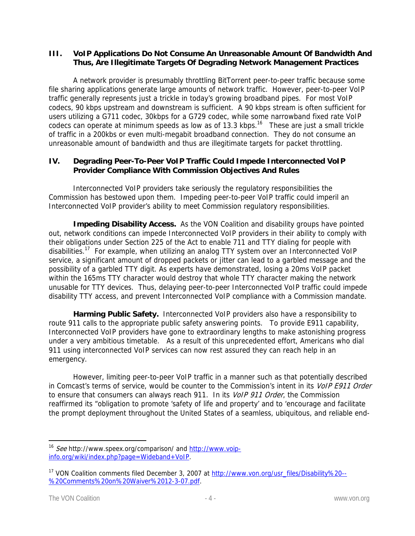### **III. VoIP Applications Do Not Consume An Unreasonable Amount Of Bandwidth And Thus, Are Illegitimate Targets Of Degrading Network Management Practices**

A network provider is presumably throttling BitTorrent peer-to-peer traffic because some file sharing applications generate large amounts of network traffic. However, peer-to-peer VoIP traffic generally represents just a trickle in today's growing broadband pipes. For most VoIP codecs, 90 kbps upstream and downstream is sufficient. A 90 kbps stream is often sufficient for users utilizing a G711 codec, 30kbps for a G729 codec, while some narrowband fixed rate VoIP codecs can operate at minimum speeds as low as of 13.3 kbps.<sup>16</sup> These are just a small trickle of traffic in a 200kbs or even multi-megabit broadband connection. They do not consume an unreasonable amount of bandwidth and thus are illegitimate targets for packet throttling.

## **IV. Degrading Peer-To-Peer VoIP Traffic Could Impede Interconnected VoIP Provider Compliance With Commission Objectives And Rules**

Interconnected VoIP providers take seriously the regulatory responsibilities the Commission has bestowed upon them. Impeding peer-to-peer VoIP traffic could imperil an Interconnected VoIP provider's ability to meet Commission regulatory responsibilities.

**Impeding Disability Access.** As the VON Coalition and disability groups have pointed out, network conditions can impede Interconnected VoIP providers in their ability to comply with their obligations under Section 225 of the Act to enable 711 and TTY dialing for people with disabilities.<sup>17</sup> For example, when utilizing an analog TTY system over an Interconnected VoIP service, a significant amount of dropped packets or jitter can lead to a garbled message and the possibility of a garbled TTY digit. As experts have demonstrated, losing a 20ms VoIP packet within the 165ms TTY character would destroy that whole TTY character making the network unusable for TTY devices. Thus, delaying peer-to-peer Interconnected VoIP traffic could impede disability TTY access, and prevent Interconnected VoIP compliance with a Commission mandate.

**Harming Public Safety.** Interconnected VoIP providers also have a responsibility to route 911 calls to the appropriate public safety answering points. To provide E911 capability, Interconnected VoIP providers have gone to extraordinary lengths to make astonishing progress under a very ambitious timetable. As a result of this unprecedented effort, Americans who dial 911 using interconnected VoIP services can now rest assured they can reach help in an emergency.

However, limiting peer-to-peer VoIP traffic in a manner such as that potentially described in Comcast's terms of service, would be counter to the Commission's intent in its VoIP E911 Order to ensure that consumers can always reach 911. In its *VoIP 911 Order*, the Commission reaffirmed its "obligation to promote 'safety of life and property' and to 'encourage and facilitate the prompt deployment throughout the United States of a seamless, ubiquitous, and reliable end-

 $\overline{a}$ 

<sup>&</sup>lt;sup>16</sup> See http://www.speex.org/comparison/ and http://www.voipinfo.org/wiki/index.php?page=Wideband+VoIP.

<sup>17</sup> VON Coalition comments filed December 3, 2007 at http://www.von.org/usr\_files/Disability%20-- %20Comments%20on%20Waiver%2012-3-07.pdf.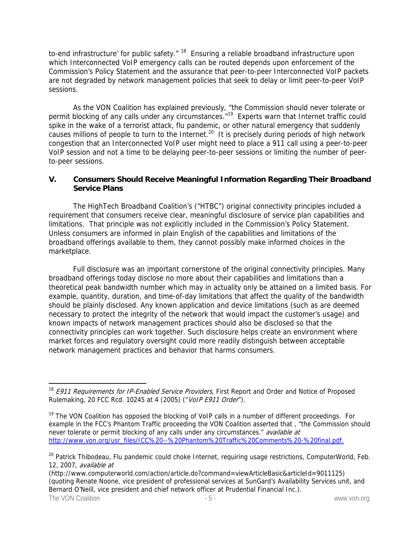to-end infrastructure' for public safety." <sup>18</sup> Ensuring a reliable broadband infrastructure upon which Interconnected VoIP emergency calls can be routed depends upon enforcement of the Commission's Policy Statement and the assurance that peer-to-peer Interconnected VoIP packets are not degraded by network management policies that seek to delay or limit peer-to-peer VoIP sessions.

As the VON Coalition has explained previously, "the Commission should never tolerate or permit blocking of any calls under any circumstances."<sup>19</sup> Experts warn that Internet traffic could spike in the wake of a terrorist attack, flu pandemic, or other natural emergency that suddenly causes millions of people to turn to the Internet.<sup>20</sup> It is precisely during periods of high network congestion that an Interconnected VoIP user might need to place a 911 call using a peer-to-peer VoIP session and not a time to be delaying peer-to-peer sessions or limiting the number of peerto-peer sessions.

### **V. Consumers Should Receive Meaningful Information Regarding Their Broadband Service Plans**

The HighTech Broadband Coalition's ("HTBC") original connectivity principles included a requirement that consumers receive clear, meaningful disclosure of service plan capabilities and limitations. That principle was not explicitly included in the Commission's Policy Statement. Unless consumers are informed in plain English of the capabilities and limitations of the broadband offerings available to them, they cannot possibly make informed choices in the marketplace.

Full disclosure was an important cornerstone of the original connectivity principles. Many broadband offerings today disclose no more about their capabilities and limitations than a theoretical peak bandwidth number which may in actuality only be attained on a limited basis. For example, quantity, duration, and time-of-day limitations that affect the quality of the bandwidth should be plainly disclosed. Any known application and device limitations (such as are deemed necessary to protect the integrity of the network that would impact the customer's usage) and known impacts of network management practices should also be disclosed so that the connectivity principles can work together. Such disclosure helps create an environment where market forces and regulatory oversight could more readily distinguish between acceptable network management practices and behavior that harms consumers.

 $\overline{a}$ <sup>18</sup> E911 Requirements for IP-Enabled Service Providers, First Report and Order and Notice of Proposed Rulemaking, 20 FCC Rcd. 10245 at 4 (2005) ("VoIP E911 Order").

<sup>&</sup>lt;sup>19</sup> The VON Coalition has opposed the blocking of VoIP calls in a number of different proceedings. For example in the FCC's Phantom Traffic proceeding the VON Coalition asserted that , "the Commission should never tolerate or permit blocking of any calls under any circumstances." available at http://www.von.org/usr\_files/ICC%20--%20Phantom%20Traffic%20Comments%20-%20final.pdf.

<sup>&</sup>lt;sup>20</sup> Patrick Thibodeau, Flu pandemic could choke Internet, requiring usage restrictions, ComputerWorld, Feb. 12, 2007, available at

The VON Coalition  $-5$ -(http://www.computerworld.com/action/article.do?command=viewArticleBasic&articleId=9011125) (quoting Renate Noone, vice president of professional services at SunGard's Availability Services unit, and Bernard O'Neill, vice president and chief network officer at Prudential Financial Inc.).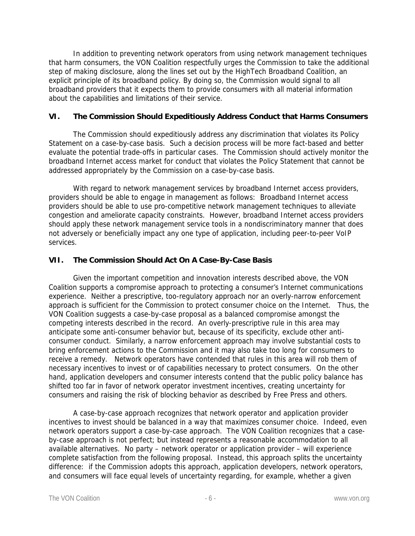In addition to preventing network operators from using network management techniques that harm consumers, the VON Coalition respectfully urges the Commission to take the additional step of making disclosure, along the lines set out by the HighTech Broadband Coalition, an explicit principle of its broadband policy. By doing so, the Commission would signal to all broadband providers that it expects them to provide consumers with all material information about the capabilities and limitations of their service.

### **VI. The Commission Should Expeditiously Address Conduct that Harms Consumers**

The Commission should expeditiously address any discrimination that violates its Policy Statement on a case-by-case basis. Such a decision process will be more fact-based and better evaluate the potential trade-offs in particular cases. The Commission should actively monitor the broadband Internet access market for conduct that violates the Policy Statement that cannot be addressed appropriately by the Commission on a case-by-case basis.

With regard to network management services by broadband Internet access providers, providers should be able to engage in management as follows: Broadband Internet access providers should be able to use pro-competitive network management techniques to alleviate congestion and ameliorate capacity constraints. However, broadband Internet access providers should apply these network management service tools in a nondiscriminatory manner that does not adversely or beneficially impact any one type of application, including peer-to-peer VoIP services.

### **VII. The Commission Should Act On A Case-By-Case Basis**

Given the important competition and innovation interests described above, the VON Coalition supports a compromise approach to protecting a consumer's Internet communications experience. Neither a prescriptive, too-regulatory approach nor an overly-narrow enforcement approach is sufficient for the Commission to protect consumer choice on the Internet. Thus, the VON Coalition suggests a case-by-case proposal as a balanced compromise amongst the competing interests described in the record. An overly-prescriptive rule in this area may anticipate some anti-consumer behavior but, because of its specificity, exclude other anticonsumer conduct. Similarly, a narrow enforcement approach may involve substantial costs to bring enforcement actions to the Commission and it may also take too long for consumers to receive a remedy. Network operators have contended that rules in this area will rob them of necessary incentives to invest or of capabilities necessary to protect consumers. On the other hand, application developers and consumer interests contend that the public policy balance has shifted too far in favor of network operator investment incentives, creating uncertainty for consumers and raising the risk of blocking behavior as described by Free Press and others.

A case-by-case approach recognizes that network operator and application provider incentives to invest should be balanced in a way that maximizes consumer choice. Indeed, even network operators support a case-by-case approach. The VON Coalition recognizes that a caseby-case approach is not perfect; but instead represents a reasonable accommodation to all available alternatives. No party – network operator or application provider – will experience complete satisfaction from the following proposal. Instead, this approach splits the uncertainty difference: if the Commission adopts this approach, application developers, network operators, and consumers will face equal levels of uncertainty regarding, for example, whether a given